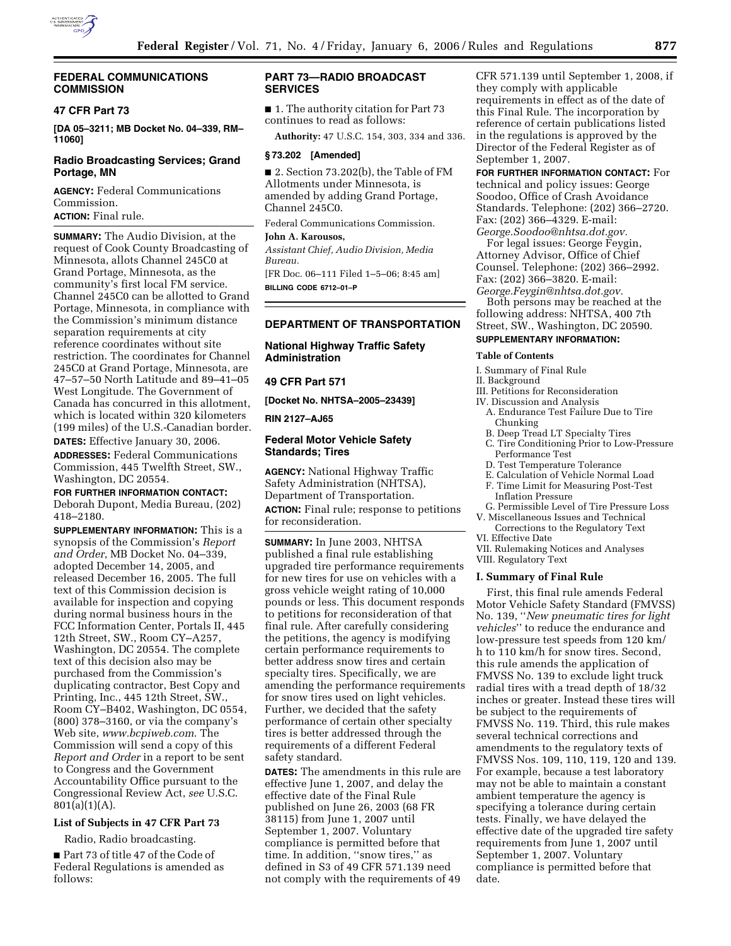

## **FEDERAL COMMUNICATIONS COMMISSION**

### **47 CFR Part 73**

**[DA 05–3211; MB Docket No. 04–339, RM– 11060]** 

## **Radio Broadcasting Services; Grand Portage, MN**

**AGENCY:** Federal Communications Commission.

**ACTION:** Final rule.

**SUMMARY:** The Audio Division, at the request of Cook County Broadcasting of Minnesota, allots Channel 245C0 at Grand Portage, Minnesota, as the community's first local FM service. Channel 245C0 can be allotted to Grand Portage, Minnesota, in compliance with the Commission's minimum distance separation requirements at city reference coordinates without site restriction. The coordinates for Channel 245C0 at Grand Portage, Minnesota, are 47–57–50 North Latitude and 89–41–05 West Longitude. The Government of Canada has concurred in this allotment, which is located within 320 kilometers (199 miles) of the U.S.-Canadian border.

**DATES:** Effective January 30, 2006. **ADDRESSES:** Federal Communications Commission, 445 Twelfth Street, SW., Washington, DC 20554.

#### **FOR FURTHER INFORMATION CONTACT:**

Deborah Dupont, Media Bureau, (202) 418–2180.

**SUPPLEMENTARY INFORMATION:** This is a synopsis of the Commission's *Report and Order*, MB Docket No. 04–339, adopted December 14, 2005, and released December 16, 2005. The full text of this Commission decision is available for inspection and copying during normal business hours in the FCC Information Center, Portals II, 445 12th Street, SW., Room CY–A257, Washington, DC 20554. The complete text of this decision also may be purchased from the Commission's duplicating contractor, Best Copy and Printing, Inc., 445 12th Street, SW., Room CY–B402, Washington, DC 0554, (800) 378–3160, or via the company's Web site, *www.bcpiweb.com*. The Commission will send a copy of this *Report and Order* in a report to be sent to Congress and the Government Accountability Office pursuant to the Congressional Review Act, *see* U.S.C. 801(a)(1)(A).

## **List of Subjects in 47 CFR Part 73**

Radio, Radio broadcasting.

■ Part 73 of title 47 of the Code of Federal Regulations is amended as follows:

# **PART 73—RADIO BROADCAST SERVICES**

■ 1. The authority citation for Part 73 continues to read as follows:

**Authority:** 47 U.S.C. 154, 303, 334 and 336.

# **§ 73.202 [Amended]**

■ 2. Section 73.202(b), the Table of FM Allotments under Minnesota, is amended by adding Grand Portage, Channel 245C0.

Federal Communications Commission.

## **John A. Karousos,**

*Assistant Chief, Audio Division, Media Bureau.* 

[FR Doc. 06–111 Filed 1–5–06; 8:45 am] **BILLING CODE 6712–01–P** 

# **DEPARTMENT OF TRANSPORTATION**

**National Highway Traffic Safety Administration** 

### **49 CFR Part 571**

**[Docket No. NHTSA–2005–23439]** 

#### **RIN 2127–AJ65**

### **Federal Motor Vehicle Safety Standards; Tires**

**AGENCY:** National Highway Traffic Safety Administration (NHTSA), Department of Transportation.

**ACTION:** Final rule; response to petitions for reconsideration.

**SUMMARY:** In June 2003, NHTSA published a final rule establishing upgraded tire performance requirements for new tires for use on vehicles with a gross vehicle weight rating of 10,000 pounds or less. This document responds to petitions for reconsideration of that final rule. After carefully considering the petitions, the agency is modifying certain performance requirements to better address snow tires and certain specialty tires. Specifically, we are amending the performance requirements for snow tires used on light vehicles. Further, we decided that the safety performance of certain other specialty tires is better addressed through the requirements of a different Federal safety standard.

**DATES:** The amendments in this rule are effective June 1, 2007, and delay the effective date of the Final Rule published on June 26, 2003 (68 FR 38115) from June 1, 2007 until September 1, 2007. Voluntary compliance is permitted before that time. In addition, ''snow tires,'' as defined in S3 of 49 CFR 571.139 need not comply with the requirements of 49

CFR 571.139 until September 1, 2008, if they comply with applicable requirements in effect as of the date of this Final Rule. The incorporation by reference of certain publications listed in the regulations is approved by the Director of the Federal Register as of September 1, 2007.

**FOR FURTHER INFORMATION CONTACT:** For technical and policy issues: George Soodoo, Office of Crash Avoidance Standards. Telephone: (202) 366–2720. Fax: (202) 366–4329. E-mail: *George.Soodoo@nhtsa.dot.gov.* 

For legal issues: George Feygin, Attorney Advisor, Office of Chief Counsel. Telephone: (202) 366–2992. Fax: (202) 366–3820. E-mail: *George.Feygin@nhtsa.dot.gov.* 

Both persons may be reached at the following address: NHTSA, 400 7th Street, SW., Washington, DC 20590.

# **SUPPLEMENTARY INFORMATION:**

#### **Table of Contents**

- I. Summary of Final Rule
- II. Background

III. Petitions for Reconsideration

- IV. Discussion and Analysis
	- A. Endurance Test Failure Due to Tire Chunking
	- B. Deep Tread LT Specialty Tires
	- C. Tire Conditioning Prior to Low-Pressure Performance Test
	- D. Test Temperature Tolerance
	- E. Calculation of Vehicle Normal Load
	- F. Time Limit for Measuring Post-Test
	- Inflation Pressure
- G. Permissible Level of Tire Pressure Loss V. Miscellaneous Issues and Technical
- Corrections to the Regulatory Text VI. Effective Date
- VII. Rulemaking Notices and Analyses
- VIII. Regulatory Text

#### **I. Summary of Final Rule**

First, this final rule amends Federal Motor Vehicle Safety Standard (FMVSS) No. 139, ''*New pneumatic tires for light vehicles*'' to reduce the endurance and low-pressure test speeds from 120 km/ h to 110 km/h for snow tires. Second, this rule amends the application of FMVSS No. 139 to exclude light truck radial tires with a tread depth of 18/32 inches or greater. Instead these tires will be subject to the requirements of FMVSS No. 119. Third, this rule makes several technical corrections and amendments to the regulatory texts of FMVSS Nos. 109, 110, 119, 120 and 139. For example, because a test laboratory may not be able to maintain a constant ambient temperature the agency is specifying a tolerance during certain tests. Finally, we have delayed the effective date of the upgraded tire safety requirements from June 1, 2007 until September 1, 2007. Voluntary compliance is permitted before that date.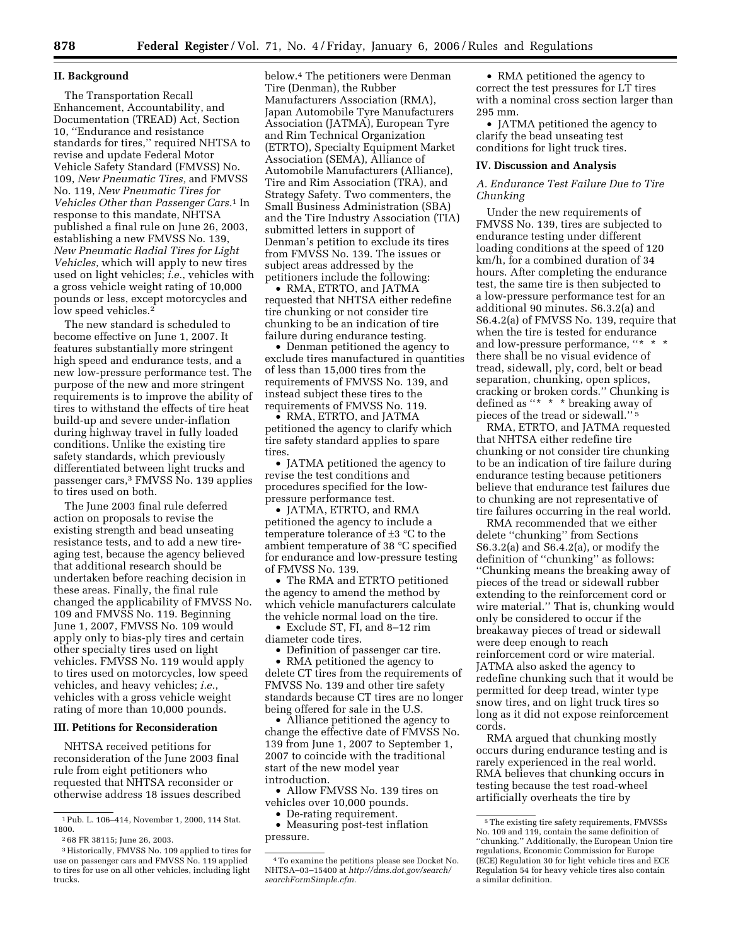#### **II. Background**

The Transportation Recall Enhancement, Accountability, and Documentation (TREAD) Act, Section 10, ''Endurance and resistance standards for tires,'' required NHTSA to revise and update Federal Motor Vehicle Safety Standard (FMVSS) No. 109, *New Pneumatic Tires,* and FMVSS No. 119, *New Pneumatic Tires for Vehicles Other than Passenger Cars.*1 In response to this mandate, NHTSA published a final rule on June 26, 2003, establishing a new FMVSS No. 139, *New Pneumatic Radial Tires for Light Vehicles,* which will apply to new tires used on light vehicles; *i.e.*, vehicles with a gross vehicle weight rating of 10,000 pounds or less, except motorcycles and low speed vehicles.<sup>2</sup>

The new standard is scheduled to become effective on June 1, 2007. It features substantially more stringent high speed and endurance tests, and a new low-pressure performance test. The purpose of the new and more stringent requirements is to improve the ability of tires to withstand the effects of tire heat build-up and severe under-inflation during highway travel in fully loaded conditions. Unlike the existing tire safety standards, which previously differentiated between light trucks and passenger cars,3 FMVSS No. 139 applies to tires used on both.

The June 2003 final rule deferred action on proposals to revise the existing strength and bead unseating resistance tests, and to add a new tireaging test, because the agency believed that additional research should be undertaken before reaching decision in these areas. Finally, the final rule changed the applicability of FMVSS No. 109 and FMVSS No. 119. Beginning June 1, 2007, FMVSS No. 109 would apply only to bias-ply tires and certain other specialty tires used on light vehicles. FMVSS No. 119 would apply to tires used on motorcycles, low speed vehicles, and heavy vehicles; *i.e.*, vehicles with a gross vehicle weight rating of more than 10,000 pounds.

#### **III. Petitions for Reconsideration**

NHTSA received petitions for reconsideration of the June 2003 final rule from eight petitioners who requested that NHTSA reconsider or otherwise address 18 issues described

below.4 The petitioners were Denman Tire (Denman), the Rubber Manufacturers Association (RMA), Japan Automobile Tyre Manufacturers Association (JATMA), European Tyre and Rim Technical Organization (ETRTO), Specialty Equipment Market Association (SEMA), Alliance of Automobile Manufacturers (Alliance), Tire and Rim Association (TRA), and Strategy Safety. Two commenters, the Small Business Administration (SBA) and the Tire Industry Association (TIA) submitted letters in support of Denman's petition to exclude its tires from FMVSS No. 139. The issues or subject areas addressed by the petitioners include the following:

• RMA, ETRTO, and JATMA requested that NHTSA either redefine tire chunking or not consider tire chunking to be an indication of tire failure during endurance testing.

• Denman petitioned the agency to exclude tires manufactured in quantities of less than 15,000 tires from the requirements of FMVSS No. 139, and instead subject these tires to the requirements of FMVSS No. 119.

• RMA, ETRTO, and JATMA petitioned the agency to clarify which tire safety standard applies to spare tires

• JATMA petitioned the agency to revise the test conditions and procedures specified for the lowpressure performance test.

• JATMA, ETRTO, and RMA petitioned the agency to include a temperature tolerance of ±3 °C to the ambient temperature of 38 °C specified for endurance and low-pressure testing of FMVSS No. 139.

• The RMA and ETRTO petitioned the agency to amend the method by which vehicle manufacturers calculate the vehicle normal load on the tire.

• Exclude ST, FI, and 8–12 rim diameter code tires.

• Definition of passenger car tire.

• RMA petitioned the agency to delete CT tires from the requirements of FMVSS No. 139 and other tire safety standards because CT tires are no longer being offered for sale in the U.S.

• Alliance petitioned the agency to change the effective date of FMVSS No. 139 from June 1, 2007 to September 1, 2007 to coincide with the traditional start of the new model year introduction.

• Allow FMVSS No. 139 tires on vehicles over 10,000 pounds.

• De-rating requirement.

• Measuring post-test inflation pressure.

• RMA petitioned the agency to correct the test pressures for LT tires with a nominal cross section larger than 295 mm.

• JATMA petitioned the agency to clarify the bead unseating test conditions for light truck tires.

#### **IV. Discussion and Analysis**

*A. Endurance Test Failure Due to Tire Chunking* 

Under the new requirements of FMVSS No. 139, tires are subjected to endurance testing under different loading conditions at the speed of 120 km/h, for a combined duration of 34 hours. After completing the endurance test, the same tire is then subjected to a low-pressure performance test for an additional 90 minutes. S6.3.2(a) and S6.4.2(a) of FMVSS No. 139, require that when the tire is tested for endurance and low-pressure performance, "\* \* there shall be no visual evidence of tread, sidewall, ply, cord, belt or bead separation, chunking, open splices, cracking or broken cords.'' Chunking is defined as ''\* \* \* breaking away of pieces of the tread or sidewall.'' 5

RMA, ETRTO, and JATMA requested that NHTSA either redefine tire chunking or not consider tire chunking to be an indication of tire failure during endurance testing because petitioners believe that endurance test failures due to chunking are not representative of tire failures occurring in the real world.

RMA recommended that we either delete ''chunking'' from Sections S6.3.2(a) and S6.4.2(a), or modify the definition of ''chunking'' as follows: ''Chunking means the breaking away of pieces of the tread or sidewall rubber extending to the reinforcement cord or wire material.'' That is, chunking would only be considered to occur if the breakaway pieces of tread or sidewall were deep enough to reach reinforcement cord or wire material. JATMA also asked the agency to redefine chunking such that it would be permitted for deep tread, winter type snow tires, and on light truck tires so long as it did not expose reinforcement cords.

RMA argued that chunking mostly occurs during endurance testing and is rarely experienced in the real world. RMA believes that chunking occurs in testing because the test road-wheel artificially overheats the tire by

<sup>1</sup>Pub. L. 106–414, November 1, 2000, 114 Stat. 1800.

<sup>2</sup> 68 FR 38115; June 26, 2003.

<sup>3</sup>Historically, FMVSS No. 109 applied to tires for use on passenger cars and FMVSS No. 119 applied to tires for use on all other vehicles, including light trucks.

<sup>4</sup>To examine the petitions please see Docket No. NHTSA–03–15400 at *http://dms.dot.gov/search/ searchFormSimple.cfm.* 

<sup>5</sup>The existing tire safety requirements, FMVSSs No. 109 and 119, contain the same definition of ''chunking.'' Additionally, the European Union tire regulations, Economic Commission for Europe (ECE) Regulation 30 for light vehicle tires and ECE Regulation 54 for heavy vehicle tires also contain a similar definition.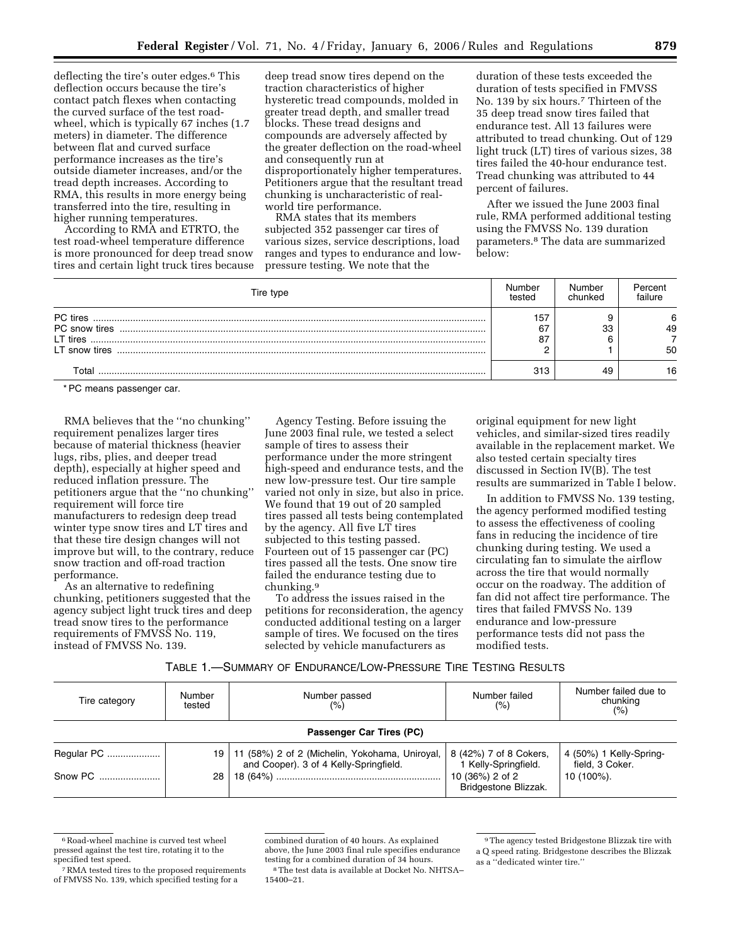deflecting the tire's outer edges.6 This deflection occurs because the tire's contact patch flexes when contacting the curved surface of the test roadwheel, which is typically 67 inches (1.7 meters) in diameter. The difference between flat and curved surface performance increases as the tire's outside diameter increases, and/or the tread depth increases. According to RMA, this results in more energy being transferred into the tire, resulting in higher running temperatures.

According to RMA and ETRTO, the test road-wheel temperature difference is more pronounced for deep tread snow tires and certain light truck tires because deep tread snow tires depend on the traction characteristics of higher hysteretic tread compounds, molded in greater tread depth, and smaller tread blocks. These tread designs and compounds are adversely affected by the greater deflection on the road-wheel and consequently run at disproportionately higher temperatures. Petitioners argue that the resultant tread chunking is uncharacteristic of realworld tire performance.

RMA states that its members subjected 352 passenger car tires of various sizes, service descriptions, load ranges and types to endurance and lowpressure testing. We note that the

duration of these tests exceeded the duration of tests specified in FMVSS No. 139 by six hours.7 Thirteen of the 35 deep tread snow tires failed that endurance test. All 13 failures were attributed to tread chunking. Out of 129 light truck (LT) tires of various sizes, 38 tires failed the 40-hour endurance test. Tread chunking was attributed to 44 percent of failures.

After we issued the June 2003 final rule, RMA performed additional testing using the FMVSS No. 139 duration parameters.8 The data are summarized below:

| Tire type | Number<br>tested | Number<br>chunked | Percent<br>failure |
|-----------|------------------|-------------------|--------------------|
| PC tires  | 157<br>67<br>87  | 33                | 6<br>49<br>50      |
| Total     | 313              | 49                | 16                 |

\* PC means passenger car.

RMA believes that the ''no chunking'' requirement penalizes larger tires because of material thickness (heavier lugs, ribs, plies, and deeper tread depth), especially at higher speed and reduced inflation pressure. The petitioners argue that the ''no chunking'' requirement will force tire manufacturers to redesign deep tread winter type snow tires and LT tires and that these tire design changes will not improve but will, to the contrary, reduce snow traction and off-road traction performance.

As an alternative to redefining chunking, petitioners suggested that the agency subject light truck tires and deep tread snow tires to the performance requirements of FMVSS No. 119, instead of FMVSS No. 139.

Agency Testing. Before issuing the June 2003 final rule, we tested a select sample of tires to assess their performance under the more stringent high-speed and endurance tests, and the new low-pressure test. Our tire sample varied not only in size, but also in price. We found that 19 out of 20 sampled tires passed all tests being contemplated by the agency. All five LT tires subjected to this testing passed. Fourteen out of 15 passenger car (PC) tires passed all the tests. One snow tire failed the endurance testing due to chunking.9

To address the issues raised in the petitions for reconsideration, the agency conducted additional testing on a larger sample of tires. We focused on the tires selected by vehicle manufacturers as

original equipment for new light vehicles, and similar-sized tires readily available in the replacement market. We also tested certain specialty tires discussed in Section IV(B). The test results are summarized in Table I below.

In addition to FMVSS No. 139 testing, the agency performed modified testing to assess the effectiveness of cooling fans in reducing the incidence of tire chunking during testing. We used a circulating fan to simulate the airflow across the tire that would normally occur on the roadway. The addition of fan did not affect tire performance. The tires that failed FMVSS No. 139 endurance and low-pressure performance tests did not pass the modified tests.

| TABLE 1.—SUMMARY OF ENDURANCE/LOW-PRESSURE TIRE TESTING RESULTS |  |
|-----------------------------------------------------------------|--|
|-----------------------------------------------------------------|--|

| Tire category            | Number<br>tested | Number passed<br>(%)                                                                     | Number failed<br>$(\% )$                       | Number failed due to<br>chunking<br>(% )   |  |  |  |  |
|--------------------------|------------------|------------------------------------------------------------------------------------------|------------------------------------------------|--------------------------------------------|--|--|--|--|
| Passenger Car Tires (PC) |                  |                                                                                          |                                                |                                            |  |  |  |  |
| Regular PC               | ا 19             | 11 (58%) 2 of 2 (Michelin, Yokohama, Uniroyal,<br>and Cooper). 3 of 4 Kelly-Springfield. | 8 (42%) 7 of 8 Cokers,<br>1 Kelly-Springfield. | 4 (50%) 1 Kelly-Spring-<br>field, 3 Coker. |  |  |  |  |
| Snow PC                  | 28 <sup>1</sup>  |                                                                                          | 10 (36%) 2 of 2<br>Bridgestone Blizzak.        | 10 (100%).                                 |  |  |  |  |

<sup>&</sup>lt;sup>6</sup>Road-wheel machine is curved test wheel pressed against the test tire, rotating it to the specified test speed.

<sup>7</sup>RMA tested tires to the proposed requirements of FMVSS No. 139, which specified testing for a

combined duration of 40 hours. As explained above, the June 2003 final rule specifies endurance testing for a combined duration of 34 hours.

<sup>8</sup>The test data is available at Docket No. NHTSA– 15400–21.

<sup>9</sup>The agency tested Bridgestone Blizzak tire with a Q speed rating. Bridgestone describes the Blizzak as a ''dedicated winter tire.''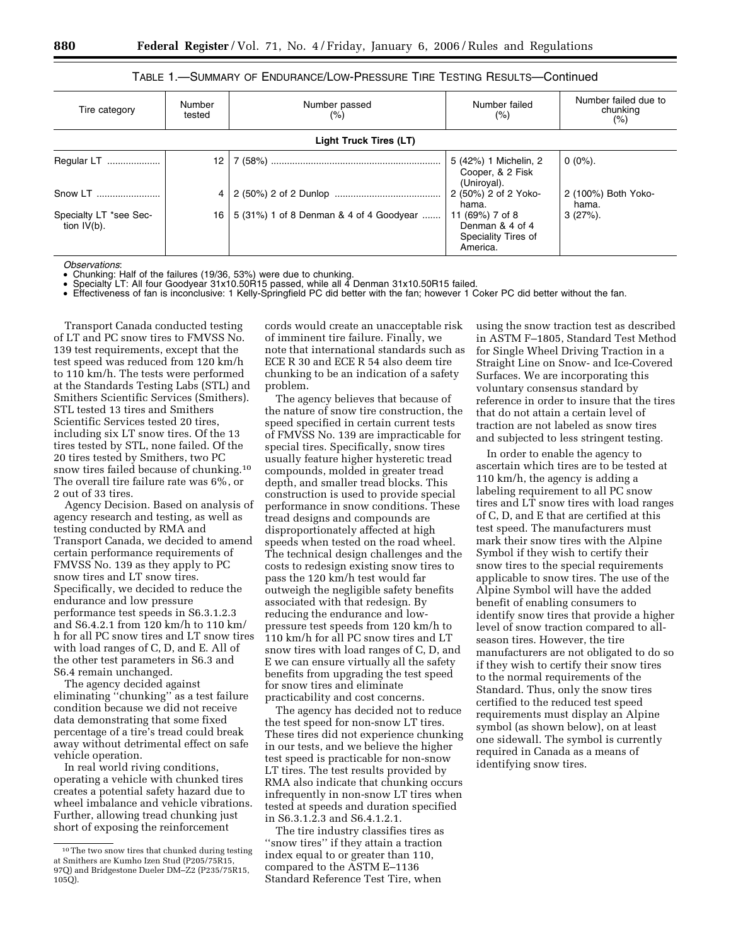## TABLE 1.—SUMMARY OF ENDURANCE/LOW-PRESSURE TIRE TESTING RESULTS—Continued

| Tire category                            | Number<br>tested | Number passed<br>(%)                    | Number failed<br>(% )                                                 | Number failed due to<br>chunking<br>$(\% )$ |
|------------------------------------------|------------------|-----------------------------------------|-----------------------------------------------------------------------|---------------------------------------------|
|                                          |                  | <b>Light Truck Tires (LT)</b>           |                                                                       |                                             |
| Regular LT                               | 12               |                                         | 5 (42%) 1 Michelin, 2<br>Cooper, & 2 Fisk<br>(Uniroyal).              | $0(0\%)$ .                                  |
| Snow LT                                  |                  |                                         | 2 (50%) 2 of 2 Yoko-<br>hama.                                         | 2 (100%) Both Yoko-<br>hama.                |
| Specialty LT *see Sec-<br>tion $IV(b)$ . | 16 <sup>1</sup>  | 5 (31%) 1 of 8 Denman & 4 of 4 Goodyear | 11 (69%) 7 of 8<br>Denman & 4 of 4<br>Speciality Tires of<br>America. | $3(27%)$ .                                  |

*Observations*:

• Chunking: Half of the failures (19/36, 53%) were due to chunking.

Specialty LT: All four Goodyear 31x10.50R15 passed, while all 4 Denman 31x10.50R15 failed.

• Effectiveness of fan is inconclusive: 1 Kelly-Springfield PC did better with the fan; however 1 Coker PC did better without the fan.

Transport Canada conducted testing of LT and PC snow tires to FMVSS No. 139 test requirements, except that the test speed was reduced from 120 km/h to 110 km/h. The tests were performed at the Standards Testing Labs (STL) and Smithers Scientific Services (Smithers). STL tested 13 tires and Smithers Scientific Services tested 20 tires, including six LT snow tires. Of the 13 tires tested by STL, none failed. Of the 20 tires tested by Smithers, two PC snow tires failed because of chunking.10 The overall tire failure rate was 6%, or 2 out of 33 tires.

Agency Decision. Based on analysis of agency research and testing, as well as testing conducted by RMA and Transport Canada, we decided to amend certain performance requirements of FMVSS No. 139 as they apply to PC snow tires and LT snow tires. Specifically, we decided to reduce the endurance and low pressure performance test speeds in S6.3.1.2.3 and S6.4.2.1 from 120 km/h to 110 km/ h for all PC snow tires and LT snow tires with load ranges of C, D, and E. All of the other test parameters in S6.3 and S6.4 remain unchanged.

The agency decided against eliminating ''chunking'' as a test failure condition because we did not receive data demonstrating that some fixed percentage of a tire's tread could break away without detrimental effect on safe vehicle operation.

In real world riving conditions, operating a vehicle with chunked tires creates a potential safety hazard due to wheel imbalance and vehicle vibrations. Further, allowing tread chunking just short of exposing the reinforcement

cords would create an unacceptable risk of imminent tire failure. Finally, we note that international standards such as ECE R 30 and ECE R 54 also deem tire chunking to be an indication of a safety problem.

The agency believes that because of the nature of snow tire construction, the speed specified in certain current tests of FMVSS No. 139 are impracticable for special tires. Specifically, snow tires usually feature higher hysteretic tread compounds, molded in greater tread depth, and smaller tread blocks. This construction is used to provide special performance in snow conditions. These tread designs and compounds are disproportionately affected at high speeds when tested on the road wheel. The technical design challenges and the costs to redesign existing snow tires to pass the 120 km/h test would far outweigh the negligible safety benefits associated with that redesign. By reducing the endurance and lowpressure test speeds from 120 km/h to 110 km/h for all PC snow tires and LT snow tires with load ranges of C, D, and E we can ensure virtually all the safety benefits from upgrading the test speed for snow tires and eliminate practicability and cost concerns.

The agency has decided not to reduce the test speed for non-snow LT tires. These tires did not experience chunking in our tests, and we believe the higher test speed is practicable for non-snow LT tires. The test results provided by RMA also indicate that chunking occurs infrequently in non-snow LT tires when tested at speeds and duration specified in S6.3.1.2.3 and S6.4.1.2.1.

The tire industry classifies tires as ''snow tires'' if they attain a traction index equal to or greater than 110, compared to the ASTM E–1136 Standard Reference Test Tire, when

using the snow traction test as described in ASTM F–1805, Standard Test Method for Single Wheel Driving Traction in a Straight Line on Snow- and Ice-Covered Surfaces. We are incorporating this voluntary consensus standard by reference in order to insure that the tires that do not attain a certain level of traction are not labeled as snow tires and subjected to less stringent testing.

In order to enable the agency to ascertain which tires are to be tested at 110 km/h, the agency is adding a labeling requirement to all PC snow tires and LT snow tires with load ranges of C, D, and E that are certified at this test speed. The manufacturers must mark their snow tires with the Alpine Symbol if they wish to certify their snow tires to the special requirements applicable to snow tires. The use of the Alpine Symbol will have the added benefit of enabling consumers to identify snow tires that provide a higher level of snow traction compared to allseason tires. However, the tire manufacturers are not obligated to do so if they wish to certify their snow tires to the normal requirements of the Standard. Thus, only the snow tires certified to the reduced test speed requirements must display an Alpine symbol (as shown below), on at least one sidewall. The symbol is currently required in Canada as a means of identifying snow tires.

<sup>10</sup>The two snow tires that chunked during testing at Smithers are Kumho Izen Stud (P205/75R15, 97Q) and Bridgestone Dueler DM–Z2 (P235/75R15, 105Q).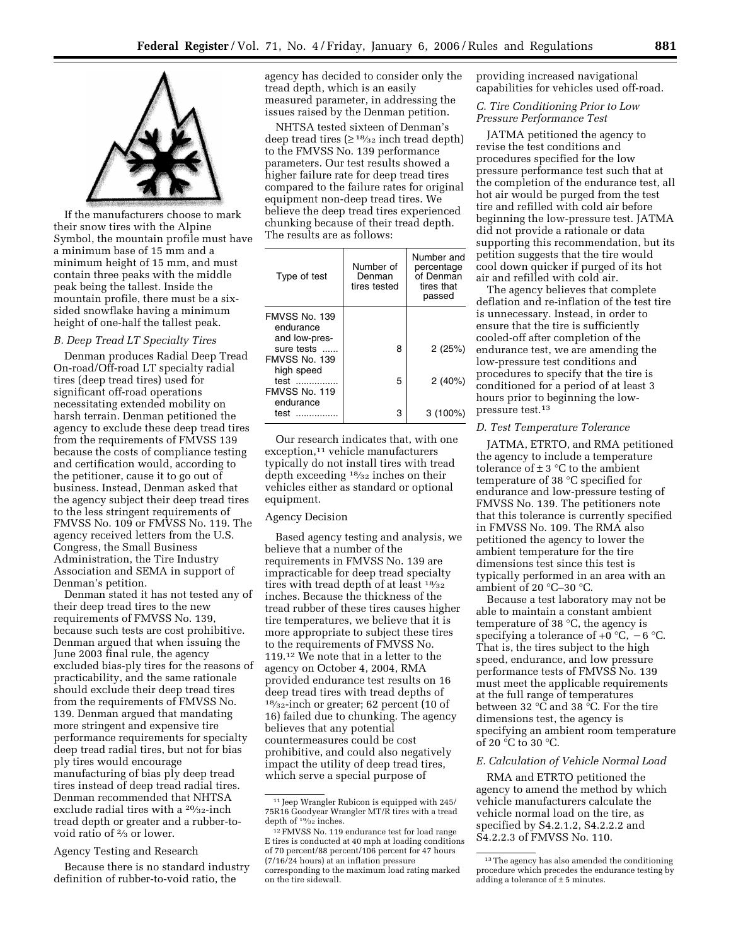



If the manufacturers choose to mark their snow tires with the Alpine Symbol, the mountain profile must have a minimum base of 15 mm and a minimum height of 15 mm, and must contain three peaks with the middle peak being the tallest. Inside the mountain profile, there must be a sixsided snowflake having a minimum height of one-half the tallest peak.

### *B. Deep Tread LT Specialty Tires*

Denman produces Radial Deep Tread On-road/Off-road LT specialty radial tires (deep tread tires) used for significant off-road operations necessitating extended mobility on harsh terrain. Denman petitioned the agency to exclude these deep tread tires from the requirements of FMVSS 139 because the costs of compliance testing and certification would, according to the petitioner, cause it to go out of business. Instead, Denman asked that the agency subject their deep tread tires to the less stringent requirements of FMVSS No. 109 or FMVSS No. 119. The agency received letters from the U.S. Congress, the Small Business Administration, the Tire Industry Association and SEMA in support of Denman's petition.

Denman stated it has not tested any of their deep tread tires to the new requirements of FMVSS No. 139, because such tests are cost prohibitive. Denman argued that when issuing the June 2003 final rule, the agency excluded bias-ply tires for the reasons of practicability, and the same rationale should exclude their deep tread tires from the requirements of FMVSS No. 139. Denman argued that mandating more stringent and expensive tire performance requirements for specialty deep tread radial tires, but not for bias ply tires would encourage manufacturing of bias ply deep tread tires instead of deep tread radial tires. Denman recommended that NHTSA exclude radial tires with a <sup>20</sup>/<sub>32</sub>-inch tread depth or greater and a rubber-tovoid ratio of 2⁄3 or lower.

### Agency Testing and Research

Because there is no standard industry definition of rubber-to-void ratio, the

agency has decided to consider only the tread depth, which is an easily measured parameter, in addressing the issues raised by the Denman petition.

NHTSA tested sixteen of Denman's deep tread tires  $(≥^{18}/_{32}$  inch tread depth) to the FMVSS No. 139 performance parameters. Our test results showed a higher failure rate for deep tread tires compared to the failure rates for original equipment non-deep tread tires. We believe the deep tread tires experienced chunking because of their tread depth. The results are as follows:

| Type of test                                     | Number of<br>Denman<br>tires tested | Number and<br>percentage<br>of Denman<br>tires that<br>passed |
|--------------------------------------------------|-------------------------------------|---------------------------------------------------------------|
| FMVSS No. 139<br>endurance<br>and low-pres-      |                                     |                                                               |
| sure tests<br><b>FMVSS No. 139</b><br>high speed | 8                                   | 2(25%)                                                        |
| test<br>FMVSS No. 119<br>endurance               | 5                                   | 2(40%)                                                        |
| test                                             | з                                   | $3(100\%)$                                                    |

Our research indicates that, with one exception,<sup>11</sup> vehicle manufacturers typically do not install tires with tread depth exceeding 18⁄32 inches on their vehicles either as standard or optional equipment.

## Agency Decision

Based agency testing and analysis, we believe that a number of the requirements in FMVSS No. 139 are impracticable for deep tread specialty tires with tread depth of at least  $18/32$ inches. Because the thickness of the tread rubber of these tires causes higher tire temperatures, we believe that it is more appropriate to subject these tires to the requirements of FMVSS No. 119.12 We note that in a letter to the agency on October 4, 2004, RMA provided endurance test results on 16 deep tread tires with tread depths of 18⁄32-inch or greater; 62 percent (10 of 16) failed due to chunking. The agency believes that any potential countermeasures could be cost prohibitive, and could also negatively impact the utility of deep tread tires, which serve a special purpose of

providing increased navigational capabilities for vehicles used off-road.

*C. Tire Conditioning Prior to Low Pressure Performance Test* 

JATMA petitioned the agency to revise the test conditions and procedures specified for the low pressure performance test such that at the completion of the endurance test, all hot air would be purged from the test tire and refilled with cold air before beginning the low-pressure test. JATMA did not provide a rationale or data supporting this recommendation, but its petition suggests that the tire would cool down quicker if purged of its hot air and refilled with cold air.

The agency believes that complete deflation and re-inflation of the test tire is unnecessary. Instead, in order to ensure that the tire is sufficiently cooled-off after completion of the endurance test, we are amending the low-pressure test conditions and procedures to specify that the tire is conditioned for a period of at least 3 hours prior to beginning the lowpressure test.13

# *D. Test Temperature Tolerance*

JATMA, ETRTO, and RMA petitioned the agency to include a temperature tolerance of  $\pm$  3 °C to the ambient temperature of 38 °C specified for endurance and low-pressure testing of FMVSS No. 139. The petitioners note that this tolerance is currently specified in FMVSS No. 109. The RMA also petitioned the agency to lower the ambient temperature for the tire dimensions test since this test is typically performed in an area with an ambient of 20 °C–30 °C.

Because a test laboratory may not be able to maintain a constant ambient temperature of 38 °C, the agency is specifying a tolerance of  $+0$  °C,  $-6$  °C. That is, the tires subject to the high speed, endurance, and low pressure performance tests of FMVSS No. 139 must meet the applicable requirements at the full range of temperatures between 32 °C and 38 °C. For the tire dimensions test, the agency is specifying an ambient room temperature of 20 °C to 30 °C.

## *E. Calculation of Vehicle Normal Load*

RMA and ETRTO petitioned the agency to amend the method by which vehicle manufacturers calculate the vehicle normal load on the tire, as specified by S4.2.1.2, S4.2.2.2 and S4.2.2.3 of FMVSS No. 110.

 $^{\rm 11}$  Jeep Wrangler Rubicon is equipped with 245/ 75R16 Goodyear Wrangler MT/R tires with a tread depth of <sup>19</sup>/<sub>32</sub> inches.

<sup>12</sup>FMVSS No. 119 endurance test for load range E tires is conducted at 40 mph at loading conditions of 70 percent/88 percent/106 percent for 47 hours (7/16/24 hours) at an inflation pressure corresponding to the maximum load rating marked on the tire sidewall.

<sup>&</sup>lt;sup>13</sup> The agency has also amended the conditioning procedure which precedes the endurance testing by adding a tolerance of  $\pm$  5 minutes.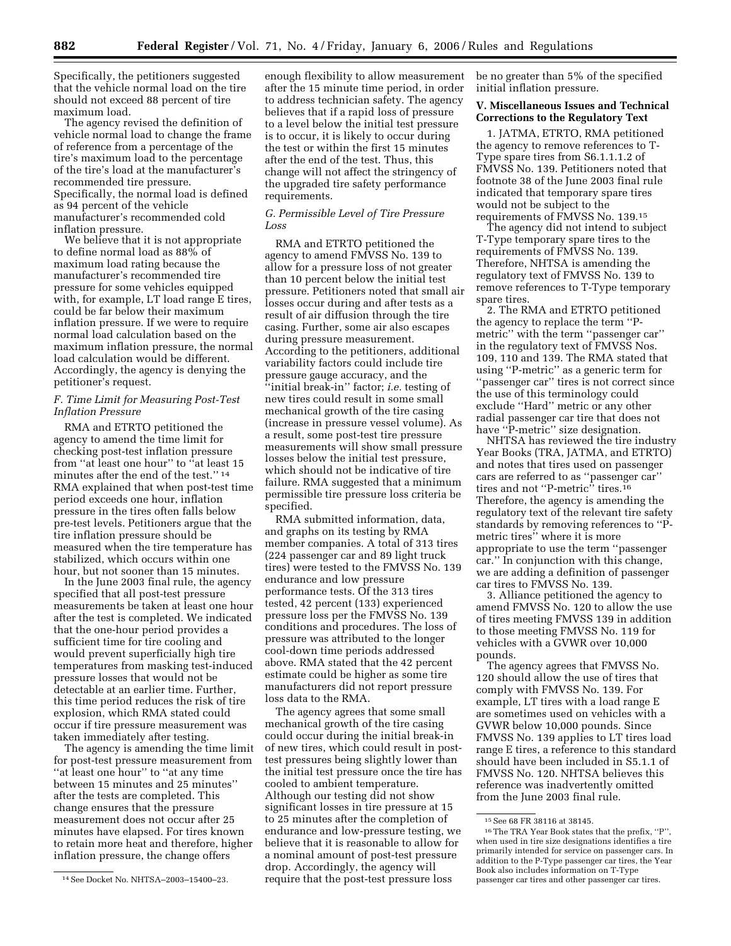Specifically, the petitioners suggested that the vehicle normal load on the tire should not exceed 88 percent of tire maximum load.

The agency revised the definition of vehicle normal load to change the frame of reference from a percentage of the tire's maximum load to the percentage of the tire's load at the manufacturer's recommended tire pressure. Specifically, the normal load is defined as 94 percent of the vehicle manufacturer's recommended cold inflation pressure.

We believe that it is not appropriate to define normal load as 88% of maximum load rating because the manufacturer's recommended tire pressure for some vehicles equipped with, for example, LT load range E tires, could be far below their maximum inflation pressure. If we were to require normal load calculation based on the maximum inflation pressure, the normal load calculation would be different. Accordingly, the agency is denying the petitioner's request.

### *F. Time Limit for Measuring Post-Test Inflation Pressure*

RMA and ETRTO petitioned the agency to amend the time limit for checking post-test inflation pressure from ''at least one hour'' to ''at least 15 minutes after the end of the test.'' 14 RMA explained that when post-test time period exceeds one hour, inflation pressure in the tires often falls below pre-test levels. Petitioners argue that the tire inflation pressure should be measured when the tire temperature has stabilized, which occurs within one hour, but not sooner than 15 minutes.

In the June 2003 final rule, the agency specified that all post-test pressure measurements be taken at least one hour after the test is completed. We indicated that the one-hour period provides a sufficient time for tire cooling and would prevent superficially high tire temperatures from masking test-induced pressure losses that would not be detectable at an earlier time. Further, this time period reduces the risk of tire explosion, which RMA stated could occur if tire pressure measurement was taken immediately after testing.

The agency is amending the time limit for post-test pressure measurement from ''at least one hour'' to ''at any time between 15 minutes and 25 minutes'' after the tests are completed. This change ensures that the pressure measurement does not occur after 25 minutes have elapsed. For tires known to retain more heat and therefore, higher inflation pressure, the change offers

enough flexibility to allow measurement after the 15 minute time period, in order to address technician safety. The agency believes that if a rapid loss of pressure to a level below the initial test pressure is to occur, it is likely to occur during the test or within the first 15 minutes after the end of the test. Thus, this change will not affect the stringency of the upgraded tire safety performance requirements.

### *G. Permissible Level of Tire Pressure Loss*

RMA and ETRTO petitioned the agency to amend FMVSS No. 139 to allow for a pressure loss of not greater than 10 percent below the initial test pressure. Petitioners noted that small air losses occur during and after tests as a result of air diffusion through the tire casing. Further, some air also escapes during pressure measurement. According to the petitioners, additional variability factors could include tire pressure gauge accuracy, and the ''initial break-in'' factor; *i.e.* testing of new tires could result in some small mechanical growth of the tire casing (increase in pressure vessel volume). As a result, some post-test tire pressure measurements will show small pressure losses below the initial test pressure, which should not be indicative of tire failure. RMA suggested that a minimum permissible tire pressure loss criteria be specified.

RMA submitted information, data, and graphs on its testing by RMA member companies. A total of 313 tires (224 passenger car and 89 light truck tires) were tested to the FMVSS No. 139 endurance and low pressure performance tests. Of the 313 tires tested, 42 percent (133) experienced pressure loss per the FMVSS No. 139 conditions and procedures. The loss of pressure was attributed to the longer cool-down time periods addressed above. RMA stated that the 42 percent estimate could be higher as some tire manufacturers did not report pressure loss data to the RMA.

The agency agrees that some small mechanical growth of the tire casing could occur during the initial break-in of new tires, which could result in posttest pressures being slightly lower than the initial test pressure once the tire has cooled to ambient temperature. Although our testing did not show significant losses in tire pressure at 15 to 25 minutes after the completion of endurance and low-pressure testing, we believe that it is reasonable to allow for a nominal amount of post-test pressure drop. Accordingly, the agency will require that the post-test pressure loss

be no greater than 5% of the specified initial inflation pressure.

# **V. Miscellaneous Issues and Technical Corrections to the Regulatory Text**

1. JATMA, ETRTO, RMA petitioned the agency to remove references to T-Type spare tires from S6.1.1.1.2 of FMVSS No. 139. Petitioners noted that footnote 38 of the June 2003 final rule indicated that temporary spare tires would not be subject to the requirements of FMVSS No. 139.15

The agency did not intend to subject T-Type temporary spare tires to the requirements of FMVSS No. 139. Therefore, NHTSA is amending the regulatory text of FMVSS No. 139 to remove references to T-Type temporary spare tires.

2. The RMA and ETRTO petitioned the agency to replace the term ''Pmetric'' with the term ''passenger car'' in the regulatory text of FMVSS Nos. 109, 110 and 139. The RMA stated that using ''P-metric'' as a generic term for ''passenger car'' tires is not correct since the use of this terminology could exclude ''Hard'' metric or any other radial passenger car tire that does not have ''P-metric'' size designation.

NHTSA has reviewed the tire industry Year Books (TRA, JATMA, and ETRTO) and notes that tires used on passenger cars are referred to as ''passenger car'' tires and not ''P-metric'' tires.16 Therefore, the agency is amending the regulatory text of the relevant tire safety standards by removing references to ''Pmetric tires'' where it is more appropriate to use the term ''passenger car.'' In conjunction with this change, we are adding a definition of passenger car tires to FMVSS No. 139.

3. Alliance petitioned the agency to amend FMVSS No. 120 to allow the use of tires meeting FMVSS 139 in addition to those meeting FMVSS No. 119 for vehicles with a GVWR over 10,000 pounds.

The agency agrees that FMVSS No. 120 should allow the use of tires that comply with FMVSS No. 139. For example, LT tires with a load range E are sometimes used on vehicles with a GVWR below 10,000 pounds. Since FMVSS No. 139 applies to LT tires load range E tires, a reference to this standard should have been included in S5.1.1 of FMVSS No. 120. NHTSA believes this reference was inadvertently omitted from the June 2003 final rule.

<sup>14</sup>See Docket No. NHTSA–2003–15400–23.

<sup>15</sup>See 68 FR 38116 at 38145.

<sup>16</sup>The TRA Year Book states that the prefix, ''P'', when used in tire size designations identifies a tire primarily intended for service on passenger cars. In addition to the P-Type passenger car tires, the Year Book also includes information on T-Type passenger car tires and other passenger car tires.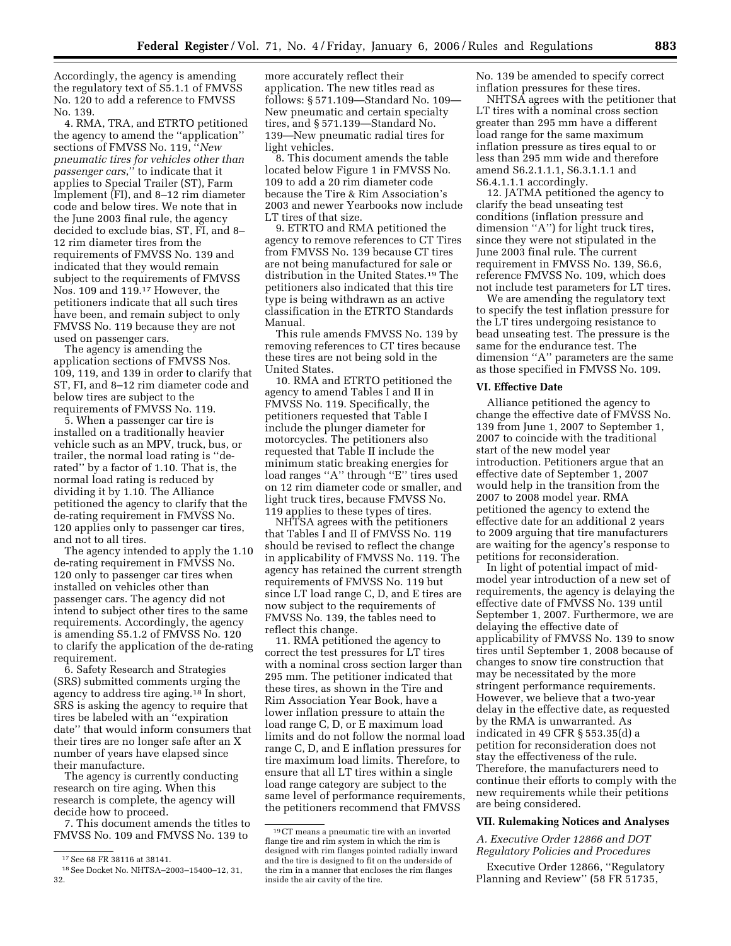Accordingly, the agency is amending the regulatory text of S5.1.1 of FMVSS No. 120 to add a reference to FMVSS No. 139.

4. RMA, TRA, and ETRTO petitioned the agency to amend the ''application'' sections of FMVSS No. 119, ''*New pneumatic tires for vehicles other than passenger cars*,'' to indicate that it applies to Special Trailer (ST), Farm Implement (FI), and 8–12 rim diameter code and below tires. We note that in the June 2003 final rule, the agency decided to exclude bias, ST, FI, and 8– 12 rim diameter tires from the requirements of FMVSS No. 139 and indicated that they would remain subject to the requirements of FMVSS Nos. 109 and 119.17 However, the petitioners indicate that all such tires have been, and remain subject to only FMVSS No. 119 because they are not used on passenger cars.

The agency is amending the application sections of FMVSS Nos. 109, 119, and 139 in order to clarify that ST, FI, and 8–12 rim diameter code and below tires are subject to the requirements of FMVSS No. 119.

5. When a passenger car tire is installed on a traditionally heavier vehicle such as an MPV, truck, bus, or trailer, the normal load rating is ''derated'' by a factor of 1.10. That is, the normal load rating is reduced by dividing it by 1.10. The Alliance petitioned the agency to clarify that the de-rating requirement in FMVSS No. 120 applies only to passenger car tires, and not to all tires.

The agency intended to apply the 1.10 de-rating requirement in FMVSS No. 120 only to passenger car tires when installed on vehicles other than passenger cars. The agency did not intend to subject other tires to the same requirements. Accordingly, the agency is amending S5.1.2 of FMVSS No. 120 to clarify the application of the de-rating requirement.

6. Safety Research and Strategies (SRS) submitted comments urging the agency to address tire aging.18 In short, SRS is asking the agency to require that tires be labeled with an ''expiration date'' that would inform consumers that their tires are no longer safe after an X number of years have elapsed since their manufacture.

The agency is currently conducting research on tire aging. When this research is complete, the agency will decide how to proceed.

7. This document amends the titles to FMVSS No. 109 and FMVSS No. 139 to

more accurately reflect their application. The new titles read as follows: § 571.109—Standard No. 109— New pneumatic and certain specialty tires, and § 571.139—Standard No. 139—New pneumatic radial tires for light vehicles.

8. This document amends the table located below Figure 1 in FMVSS No. 109 to add a 20 rim diameter code because the Tire & Rim Association's 2003 and newer Yearbooks now include LT tires of that size.

9. ETRTO and RMA petitioned the agency to remove references to CT Tires from FMVSS No. 139 because CT tires are not being manufactured for sale or distribution in the United States.19 The petitioners also indicated that this tire type is being withdrawn as an active classification in the ETRTO Standards Manual.

This rule amends FMVSS No. 139 by removing references to CT tires because these tires are not being sold in the United States.

10. RMA and ETRTO petitioned the agency to amend Tables I and II in FMVSS No. 119. Specifically, the petitioners requested that Table I include the plunger diameter for motorcycles. The petitioners also requested that Table II include the minimum static breaking energies for load ranges ''A'' through ''E'' tires used on 12 rim diameter code or smaller, and light truck tires, because FMVSS No. 119 applies to these types of tires.

NHTSA agrees with the petitioners that Tables I and II of FMVSS No. 119 should be revised to reflect the change in applicability of FMVSS No. 119. The agency has retained the current strength requirements of FMVSS No. 119 but since LT load range C, D, and E tires are now subject to the requirements of FMVSS No. 139, the tables need to reflect this change.

11. RMA petitioned the agency to correct the test pressures for LT tires with a nominal cross section larger than 295 mm. The petitioner indicated that these tires, as shown in the Tire and Rim Association Year Book, have a lower inflation pressure to attain the load range C, D, or E maximum load limits and do not follow the normal load range C, D, and E inflation pressures for tire maximum load limits. Therefore, to ensure that all LT tires within a single load range category are subject to the same level of performance requirements, the petitioners recommend that FMVSS

No. 139 be amended to specify correct inflation pressures for these tires.

NHTSA agrees with the petitioner that LT tires with a nominal cross section greater than 295 mm have a different load range for the same maximum inflation pressure as tires equal to or less than 295 mm wide and therefore amend S6.2.1.1.1, S6.3.1.1.1 and S6.4.1.1.1 accordingly.

12. JATMA petitioned the agency to clarify the bead unseating test conditions (inflation pressure and dimension ''A'') for light truck tires, since they were not stipulated in the June 2003 final rule. The current requirement in FMVSS No. 139, S6.6, reference FMVSS No. 109, which does not include test parameters for LT tires.

We are amending the regulatory text to specify the test inflation pressure for the LT tires undergoing resistance to bead unseating test. The pressure is the same for the endurance test. The dimension ''A'' parameters are the same as those specified in FMVSS No. 109.

#### **VI. Effective Date**

Alliance petitioned the agency to change the effective date of FMVSS No. 139 from June 1, 2007 to September 1, 2007 to coincide with the traditional start of the new model year introduction. Petitioners argue that an effective date of September 1, 2007 would help in the transition from the 2007 to 2008 model year. RMA petitioned the agency to extend the effective date for an additional 2 years to 2009 arguing that tire manufacturers are waiting for the agency's response to petitions for reconsideration.

In light of potential impact of midmodel year introduction of a new set of requirements, the agency is delaying the effective date of FMVSS No. 139 until September 1, 2007. Furthermore, we are delaying the effective date of applicability of FMVSS No. 139 to snow tires until September 1, 2008 because of changes to snow tire construction that may be necessitated by the more stringent performance requirements. However, we believe that a two-year delay in the effective date, as requested by the RMA is unwarranted. As indicated in 49 CFR § 553.35(d) a petition for reconsideration does not stay the effectiveness of the rule. Therefore, the manufacturers need to continue their efforts to comply with the new requirements while their petitions are being considered.

### **VII. Rulemaking Notices and Analyses**

## *A. Executive Order 12866 and DOT Regulatory Policies and Procedures*

Executive Order 12866, ''Regulatory Planning and Review'' (58 FR 51735,

<sup>17</sup>See 68 FR 38116 at 38141.

<sup>18</sup>See Docket No. NHTSA–2003–15400–12, 31, 32.

<sup>19</sup>CT means a pneumatic tire with an inverted flange tire and rim system in which the rim is designed with rim flanges pointed radially inward and the tire is designed to fit on the underside of the rim in a manner that encloses the rim flanges inside the air cavity of the tire.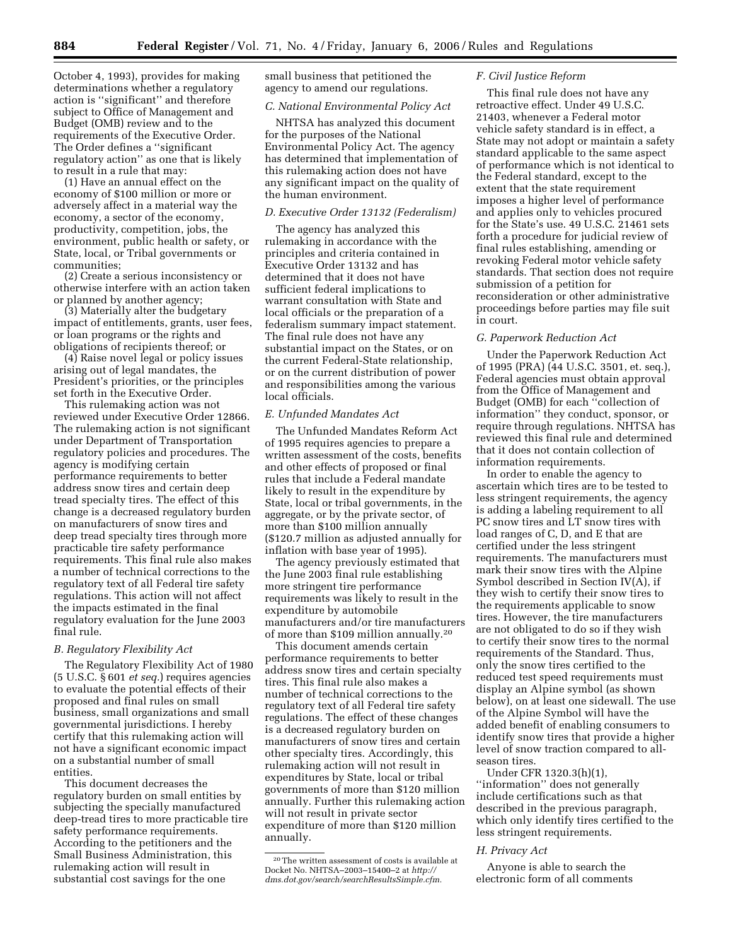October 4, 1993), provides for making determinations whether a regulatory action is ''significant'' and therefore subject to Office of Management and Budget (OMB) review and to the requirements of the Executive Order. The Order defines a ''significant regulatory action'' as one that is likely to result in a rule that may:

(1) Have an annual effect on the economy of \$100 million or more or adversely affect in a material way the economy, a sector of the economy, productivity, competition, jobs, the environment, public health or safety, or State, local, or Tribal governments or communities;

(2) Create a serious inconsistency or otherwise interfere with an action taken or planned by another agency;

(3) Materially alter the budgetary impact of entitlements, grants, user fees, or loan programs or the rights and obligations of recipients thereof; or

(4) Raise novel legal or policy issues arising out of legal mandates, the President's priorities, or the principles set forth in the Executive Order.

This rulemaking action was not reviewed under Executive Order 12866. The rulemaking action is not significant under Department of Transportation regulatory policies and procedures. The agency is modifying certain performance requirements to better address snow tires and certain deep tread specialty tires. The effect of this change is a decreased regulatory burden on manufacturers of snow tires and deep tread specialty tires through more practicable tire safety performance requirements. This final rule also makes a number of technical corrections to the regulatory text of all Federal tire safety regulations. This action will not affect the impacts estimated in the final regulatory evaluation for the June 2003 final rule.

## *B. Regulatory Flexibility Act*

The Regulatory Flexibility Act of 1980 (5 U.S.C. § 601 *et seq.*) requires agencies to evaluate the potential effects of their proposed and final rules on small business, small organizations and small governmental jurisdictions. I hereby certify that this rulemaking action will not have a significant economic impact on a substantial number of small entities.

This document decreases the regulatory burden on small entities by subjecting the specially manufactured deep-tread tires to more practicable tire safety performance requirements. According to the petitioners and the Small Business Administration, this rulemaking action will result in substantial cost savings for the one

small business that petitioned the agency to amend our regulations.

### *C. National Environmental Policy Act*

NHTSA has analyzed this document for the purposes of the National Environmental Policy Act. The agency has determined that implementation of this rulemaking action does not have any significant impact on the quality of the human environment.

### *D. Executive Order 13132 (Federalism)*

The agency has analyzed this rulemaking in accordance with the principles and criteria contained in Executive Order 13132 and has determined that it does not have sufficient federal implications to warrant consultation with State and local officials or the preparation of a federalism summary impact statement. The final rule does not have any substantial impact on the States, or on the current Federal-State relationship, or on the current distribution of power and responsibilities among the various local officials.

### *E. Unfunded Mandates Act*

The Unfunded Mandates Reform Act of 1995 requires agencies to prepare a written assessment of the costs, benefits and other effects of proposed or final rules that include a Federal mandate likely to result in the expenditure by State, local or tribal governments, in the aggregate, or by the private sector, of more than \$100 million annually (\$120.7 million as adjusted annually for inflation with base year of 1995).

The agency previously estimated that the June 2003 final rule establishing more stringent tire performance requirements was likely to result in the expenditure by automobile manufacturers and/or tire manufacturers of more than \$109 million annually.20

This document amends certain performance requirements to better address snow tires and certain specialty tires. This final rule also makes a number of technical corrections to the regulatory text of all Federal tire safety regulations. The effect of these changes is a decreased regulatory burden on manufacturers of snow tires and certain other specialty tires. Accordingly, this rulemaking action will not result in expenditures by State, local or tribal governments of more than \$120 million annually. Further this rulemaking action will not result in private sector expenditure of more than \$120 million annually.

### *F. Civil Justice Reform*

This final rule does not have any retroactive effect. Under 49 U.S.C. 21403, whenever a Federal motor vehicle safety standard is in effect, a State may not adopt or maintain a safety standard applicable to the same aspect of performance which is not identical to the Federal standard, except to the extent that the state requirement imposes a higher level of performance and applies only to vehicles procured for the State's use. 49 U.S.C. 21461 sets forth a procedure for judicial review of final rules establishing, amending or revoking Federal motor vehicle safety standards. That section does not require submission of a petition for reconsideration or other administrative proceedings before parties may file suit in court.

#### *G. Paperwork Reduction Act*

Under the Paperwork Reduction Act of 1995 (PRA) (44 U.S.C. 3501, et. seq.), Federal agencies must obtain approval from the Office of Management and Budget (OMB) for each ''collection of information'' they conduct, sponsor, or require through regulations. NHTSA has reviewed this final rule and determined that it does not contain collection of information requirements.

In order to enable the agency to ascertain which tires are to be tested to less stringent requirements, the agency is adding a labeling requirement to all PC snow tires and LT snow tires with load ranges of C, D, and E that are certified under the less stringent requirements. The manufacturers must mark their snow tires with the Alpine Symbol described in Section IV(A), if they wish to certify their snow tires to the requirements applicable to snow tires. However, the tire manufacturers are not obligated to do so if they wish to certify their snow tires to the normal requirements of the Standard. Thus, only the snow tires certified to the reduced test speed requirements must display an Alpine symbol (as shown below), on at least one sidewall. The use of the Alpine Symbol will have the added benefit of enabling consumers to identify snow tires that provide a higher level of snow traction compared to allseason tires.

Under CFR 1320.3(h)(1), ''information'' does not generally include certifications such as that described in the previous paragraph, which only identify tires certified to the less stringent requirements.

#### *H. Privacy Act*

Anyone is able to search the electronic form of all comments

<sup>20</sup>The written assessment of costs is available at Docket No. NHTSA–2003–15400–2 at *http:// dms.dot.gov/search/searchResultsSimple.cfm.*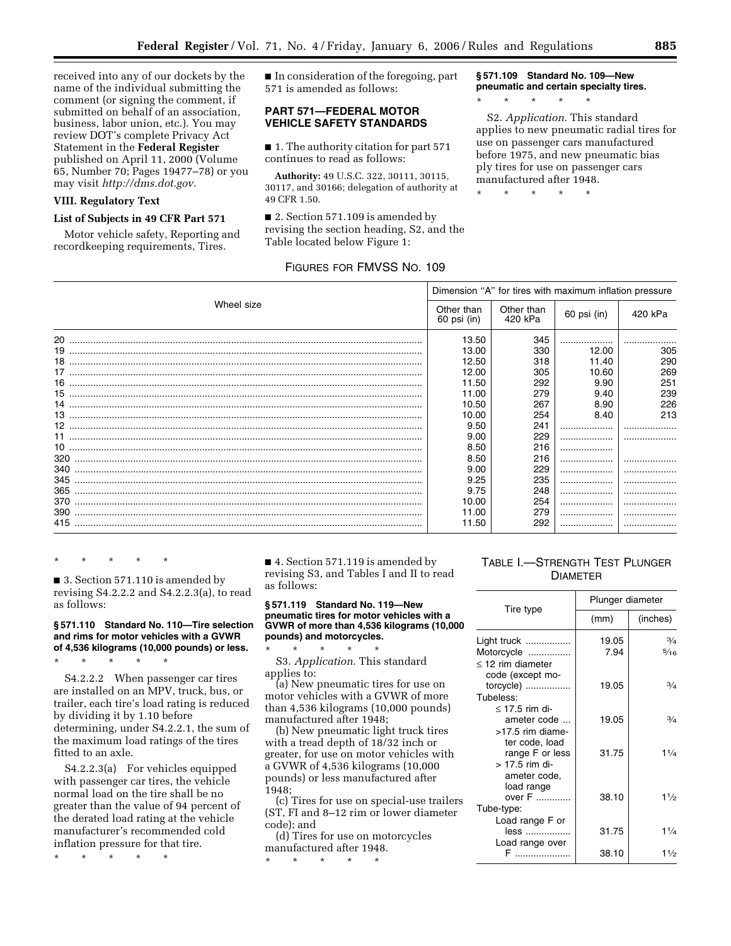received into any of our dockets by the name of the individual submitting the comment (or signing the comment, if submitted on behalf of an association, business, labor union, etc.). You may review DOT's complete Privacy Act Statement in the **Federal Register**  published on April 11, 2000 (Volume 65, Number 70; Pages 19477–78) or you may visit *http://dms.dot.gov.* 

## **VIII. Regulatory Text**

## **List of Subjects in 49 CFR Part 571**

Motor vehicle safety, Reporting and recordkeeping requirements, Tires.

■ In consideration of the foregoing, part 571 is amended as follows:

# **PART 571—FEDERAL MOTOR VEHICLE SAFETY STANDARDS**

■ 1. The authority citation for part 571 continues to read as follows:

**Authority:** 49 U.S.C. 322, 30111, 30115, 30117, and 30166; delegation of authority at 49 CFR 1.50.

■ 2. Section 571.109 is amended by revising the section heading, S2, and the Table located below Figure 1:

# FIGURES FOR FMVSS NO. 109

**§ 571.109 Standard No. 109—New pneumatic and certain specialty tires.** 

S2. *Application.* This standard applies to new pneumatic radial tires for use on passenger cars manufactured before 1975, and new pneumatic bias ply tires for use on passenger cars manufactured after 1948.

\* \* \* \* \*

\* \* \* \* \*

|            | Dimension "A" for tires with maximum inflation pressure |                       |             |         |  |  |  |
|------------|---------------------------------------------------------|-----------------------|-------------|---------|--|--|--|
| Wheel size | Other than<br>60 psi (in)                               | Other than<br>420 kPa | 60 psi (in) | 420 kPa |  |  |  |
|            | 13.50                                                   | 345                   |             |         |  |  |  |
|            | 13.00                                                   | 330                   | 12.00       | 305     |  |  |  |
|            | 12.50                                                   | 318                   | 11.40       | 290     |  |  |  |
|            | 12.00                                                   | 305                   | 10.60       | 269     |  |  |  |
|            | 11.50                                                   | 292                   | 9.90        | 251     |  |  |  |
|            | 11.00                                                   | 279                   | 9.40        | 239     |  |  |  |
|            | 10.50                                                   | 267                   | 8.90        | 226     |  |  |  |
|            | 10.00                                                   | 254                   | 8.40        | 213     |  |  |  |
|            | 9.50                                                    | 241                   | .           |         |  |  |  |
|            | 9.00                                                    | 229                   |             |         |  |  |  |
|            | 8.50                                                    | 216                   |             |         |  |  |  |
|            | 8.50                                                    | 216                   |             |         |  |  |  |
|            | 9.00                                                    | 229                   |             |         |  |  |  |
|            | 9.25                                                    | 235                   |             |         |  |  |  |
|            | 9.75                                                    | 248                   |             |         |  |  |  |
|            | 10.00                                                   | 254                   | .           |         |  |  |  |
|            | 11.00                                                   | 279                   |             |         |  |  |  |
|            | 11.50                                                   | 292                   | .           |         |  |  |  |
|            |                                                         |                       |             |         |  |  |  |

\* \* \* \* \*

■ 3. Section 571.110 is amended by revising S4.2.2.2 and S4.2.2.3(a), to read as follows:

## **§ 571.110 Standard No. 110—Tire selection and rims for motor vehicles with a GVWR of 4,536 kilograms (10,000 pounds) or less.**

\* \* \* \* \*

S4.2.2.2 When passenger car tires are installed on an MPV, truck, bus, or trailer, each tire's load rating is reduced by dividing it by 1.10 before determining, under S4.2.2.1, the sum of the maximum load ratings of the tires fitted to an axle.

S4.2.2.3(a) For vehicles equipped with passenger car tires, the vehicle normal load on the tire shall be no greater than the value of 94 percent of the derated load rating at the vehicle manufacturer's recommended cold inflation pressure for that tire.

\* \* \* \* \*

■ 4. Section 571.119 is amended by revising S3, and Tables I and II to read as follows:

#### **§ 571.119 Standard No. 119—New pneumatic tires for motor vehicles with a GVWR of more than 4,536 kilograms (10,000 pounds) and motorcycles.**

\* \* \* \* \* S3. *Application.* This standard applies to:

(a) New pneumatic tires for use on motor vehicles with a GVWR of more than 4,536 kilograms (10,000 pounds) manufactured after 1948;

(b) New pneumatic light truck tires with a tread depth of 18/32 inch or greater, for use on motor vehicles with a GVWR of 4,536 kilograms (10,000 pounds) or less manufactured after 1948;

(c) Tires for use on special-use trailers (ST, FI and 8–12 rim or lower diameter code); and

(d) Tires for use on motorcycles manufactured after 1948. \* \* \* \* \*

# TABLE I.—STRENGTH TEST PLUNGER DIAMETER

|                        | Plunger diameter |                |  |  |
|------------------------|------------------|----------------|--|--|
| Tire type              | (mm)             | (inches)       |  |  |
| Light truck            | 19.05            | $\frac{3}{4}$  |  |  |
| Motorcycle             | 7.94             | $\frac{5}{16}$ |  |  |
| $\leq$ 12 rim diameter |                  |                |  |  |
| code (except mo-       |                  |                |  |  |
| torcycle)              | 19.05            | $\frac{3}{4}$  |  |  |
| Tubeless:              |                  |                |  |  |
| $\leq$ 17.5 rim di-    |                  |                |  |  |
| ameter code            | 19.05            | 3/4            |  |  |
| $>17.5$ rim diame-     |                  |                |  |  |
| ter code, load         |                  |                |  |  |
| range F or less        | 31.75            | $1\frac{1}{4}$ |  |  |
| $> 17.5$ rim di-       |                  |                |  |  |
| ameter code,           |                  |                |  |  |
| load range<br>over F   | 38.10            | 11/2           |  |  |
| Tube-type:             |                  |                |  |  |
| Load range F or        |                  |                |  |  |
| less                   | 31.75            | $1\frac{1}{4}$ |  |  |
| Load range over        |                  |                |  |  |
|                        | 38.10            | $1\frac{1}{2}$ |  |  |
|                        |                  |                |  |  |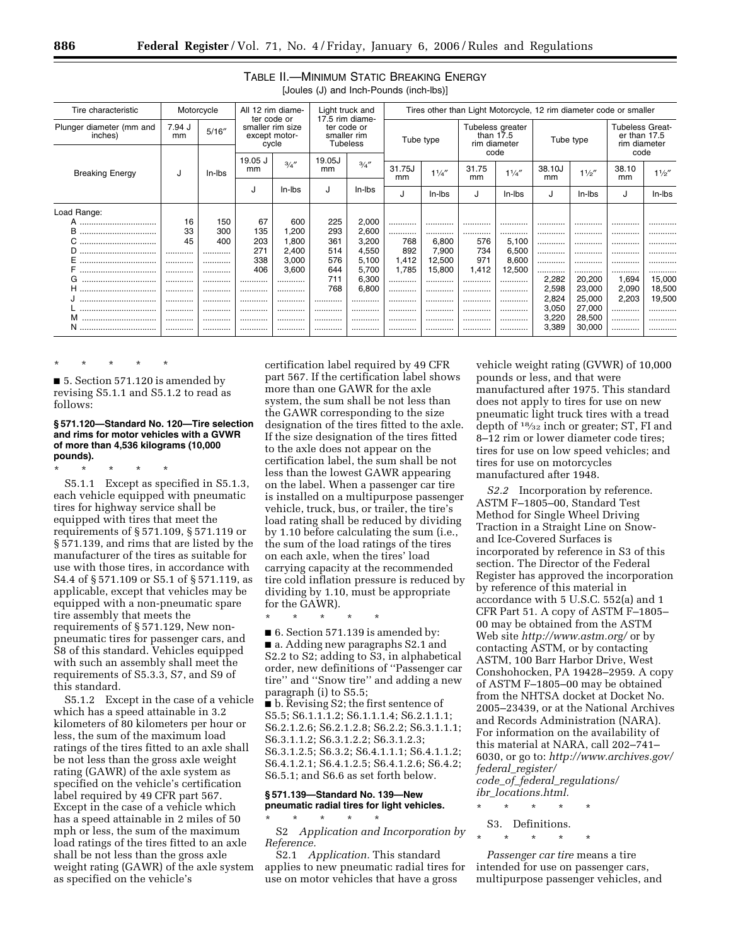| Tire characteristic                 | Motorcycle   |        | Light truck and<br>All 12 rim diame-<br>17.5 rim diame-<br>ter code or<br>smaller rim size<br>ter code or<br>smaller rim<br>except motor-<br><b>Tubeless</b><br>cycle |        |           |        |                                                 | Tires other than Light Motorcycle, 12 rim diameter code or smaller |             |        |                                                        |        |             |        |
|-------------------------------------|--------------|--------|-----------------------------------------------------------------------------------------------------------------------------------------------------------------------|--------|-----------|--------|-------------------------------------------------|--------------------------------------------------------------------|-------------|--------|--------------------------------------------------------|--------|-------------|--------|
| Plunger diameter (mm and<br>inches) | 7.94 J<br>mm | 5/16'' |                                                                                                                                                                       |        | Tube type |        | Tubeless greater<br>than $17.5$<br>rim diameter |                                                                    | Tube type   |        | <b>Tubeless Great-</b><br>er than 17.5<br>rim diameter |        |             |        |
|                                     |              |        | 19.05 J                                                                                                                                                               |        | 19.05J    |        |                                                 |                                                                    |             | code   |                                                        |        | code        |        |
| <b>Breaking Energy</b>              | J            | In-Ibs | mm                                                                                                                                                                    | 3/4''  | mm        | 3/4''  | 31.75J<br>mm                                    | 11/4''                                                             | 31.75<br>mm | 11/4'' | 38.10J<br>mm                                           | 11/2'' | 38.10<br>mm | 11/2'' |
|                                     |              |        |                                                                                                                                                                       | In-Ibs |           | In-Ibs |                                                 |                                                                    |             |        |                                                        |        |             |        |
|                                     |              |        | J                                                                                                                                                                     |        | J         |        | J                                               | In-Ibs                                                             | J           | In-Ibs | J                                                      | In-Ibs | J           | In-Ibs |
| Load Range:                         |              |        |                                                                                                                                                                       |        |           |        |                                                 |                                                                    |             |        |                                                        |        |             |        |
|                                     | 16           | 150    | 67                                                                                                                                                                    | 600    | 225       | 2,000  |                                                 |                                                                    |             |        |                                                        |        |             |        |
| в                                   | 33           | 300    | 135                                                                                                                                                                   | 1,200  | 293       | 2,600  |                                                 |                                                                    |             | .      |                                                        |        |             |        |
| ◡<br>                               | 45           | 400    | 203                                                                                                                                                                   | 1.800  | 361       | 3,200  | 768                                             | 6,800                                                              | 576         | 5,100  |                                                        |        |             |        |
|                                     |              |        | 271                                                                                                                                                                   | 2,400  | 514       | 4,550  | 892                                             | 7,900                                                              | 734         | 6,500  |                                                        |        |             |        |
|                                     |              |        | 338                                                                                                                                                                   | 3,000  | 576       | 5,100  | 1,412                                           | 12,500                                                             | 971         | 8,600  | .                                                      | .      |             |        |
|                                     |              |        | 406                                                                                                                                                                   | 3,600  | 644       | 5,700  | 1,785                                           | 15,800                                                             | 1,412       | 12,500 | .                                                      | .      |             |        |
| G                                   |              |        | .                                                                                                                                                                     |        | 711       | 6,300  |                                                 |                                                                    |             |        | 2,282                                                  | 20,200 | 1,694       | 15,000 |
| н<br>                               |              |        | .                                                                                                                                                                     |        | 768       | 6,800  |                                                 |                                                                    |             |        | 2,598                                                  | 23,000 | 2,090       | 18,500 |
|                                     |              |        | .                                                                                                                                                                     |        |           |        |                                                 |                                                                    |             |        | 2,824                                                  | 25,000 | 2,203       | 19,500 |
|                                     |              |        | .                                                                                                                                                                     |        |           |        |                                                 |                                                                    |             |        | 3,050                                                  | 27,000 |             |        |
| м                                   |              |        |                                                                                                                                                                       |        |           |        |                                                 |                                                                    |             |        | 3,220                                                  | 28,500 |             |        |
| N                                   |              |        |                                                                                                                                                                       |        |           |        |                                                 |                                                                    |             |        | 3,389                                                  | 30,000 |             |        |

# TABLE II.—MINIMUM STATIC BREAKING ENERGY [Joules (J) and Inch-Pounds (inch-lbs)]

\* \* \* \* \*

■ 5. Section 571.120 is amended by revising S5.1.1 and S5.1.2 to read as follows:

#### **§ 571.120—Standard No. 120—Tire selection and rims for motor vehicles with a GVWR of more than 4,536 kilograms (10,000 pounds).**

\* \* \* \* \*

S5.1.1 Except as specified in S5.1.3, each vehicle equipped with pneumatic tires for highway service shall be equipped with tires that meet the requirements of § 571.109, § 571.119 or § 571.139, and rims that are listed by the manufacturer of the tires as suitable for use with those tires, in accordance with S4.4 of § 571.109 or S5.1 of § 571.119, as applicable, except that vehicles may be equipped with a non-pneumatic spare tire assembly that meets the requirements of § 571.129, New nonpneumatic tires for passenger cars, and S8 of this standard. Vehicles equipped with such an assembly shall meet the requirements of S5.3.3, S7, and S9 of this standard.

S5.1.2 Except in the case of a vehicle which has a speed attainable in 3.2 kilometers of 80 kilometers per hour or less, the sum of the maximum load ratings of the tires fitted to an axle shall be not less than the gross axle weight rating (GAWR) of the axle system as specified on the vehicle's certification label required by 49 CFR part 567. Except in the case of a vehicle which has a speed attainable in 2 miles of 50 mph or less, the sum of the maximum load ratings of the tires fitted to an axle shall be not less than the gross axle weight rating (GAWR) of the axle system as specified on the vehicle's

certification label required by 49 CFR part 567. If the certification label shows more than one GAWR for the axle system, the sum shall be not less than the GAWR corresponding to the size designation of the tires fitted to the axle. If the size designation of the tires fitted to the axle does not appear on the certification label, the sum shall be not less than the lowest GAWR appearing on the label. When a passenger car tire is installed on a multipurpose passenger vehicle, truck, bus, or trailer, the tire's load rating shall be reduced by dividing by 1.10 before calculating the sum (i.e., the sum of the load ratings of the tires on each axle, when the tires' load carrying capacity at the recommended tire cold inflation pressure is reduced by dividing by 1.10, must be appropriate for the GAWR).

\* \* \* \* \*

■ 6. Section 571.139 is amended by: ■ a. Adding new paragraphs S2.1 and S2.2 to S2; adding to S3, in alphabetical order, new definitions of ''Passenger car tire'' and ''Snow tire'' and adding a new paragraph (i) to S5.5;

■ b. Revising S2; the first sentence of S5.5; S6.1.1.1.2; S6.1.1.1.4; S6.2.1.1.1; S6.2.1.2.6; S6.2.1.2.8; S6.2.2; S6.3.1.1.1; S6.3.1.1.2; S6.3.1.2.2; S6.3.1.2.3; S6.3.1.2.5; S6.3.2; S6.4.1.1.1; S6.4.1.1.2; S6.4.1.2.1; S6.4.1.2.5; S6.4.1.2.6; S6.4.2; S6.5.1; and S6.6 as set forth below.

# **§ 571.139—Standard No. 139—New pneumatic radial tires for light vehicles.**

\* \* \* \* \* S2 *Application and Incorporation by Reference.* 

S2.1 *Application.* This standard applies to new pneumatic radial tires for use on motor vehicles that have a gross

vehicle weight rating (GVWR) of 10,000 pounds or less, and that were manufactured after 1975. This standard does not apply to tires for use on new pneumatic light truck tires with a tread depth of 18⁄32 inch or greater; ST, FI and 8–12 rim or lower diameter code tires; tires for use on low speed vehicles; and tires for use on motorcycles manufactured after 1948.

*S2.2* Incorporation by reference. ASTM F–1805–00, Standard Test Method for Single Wheel Driving Traction in a Straight Line on Snowand Ice-Covered Surfaces is incorporated by reference in S3 of this section. The Director of the Federal Register has approved the incorporation by reference of this material in accordance with 5 U.S.C. 552(a) and 1 CFR Part 51. A copy of ASTM F–1805– 00 may be obtained from the ASTM Web site *http://www.astm.org/* or by contacting ASTM, or by contacting ASTM, 100 Barr Harbor Drive, West Conshohocken, PA 19428–2959. A copy of ASTM F–1805–00 may be obtained from the NHTSA docket at Docket No. 2005–23439, or at the National Archives and Records Administration (NARA). For information on the availability of this material at NARA, call 202–741– 6030, or go to: *http://www.archives.gov/ federal*\_*register/* 

*code*\_*of*\_*federal*\_*regulations/ ibr*\_*locations.html.* 

\* \* \* \* \* S3. Definitions.

\* \* \* \* \*

*Passenger car tire* means a tire intended for use on passenger cars, multipurpose passenger vehicles, and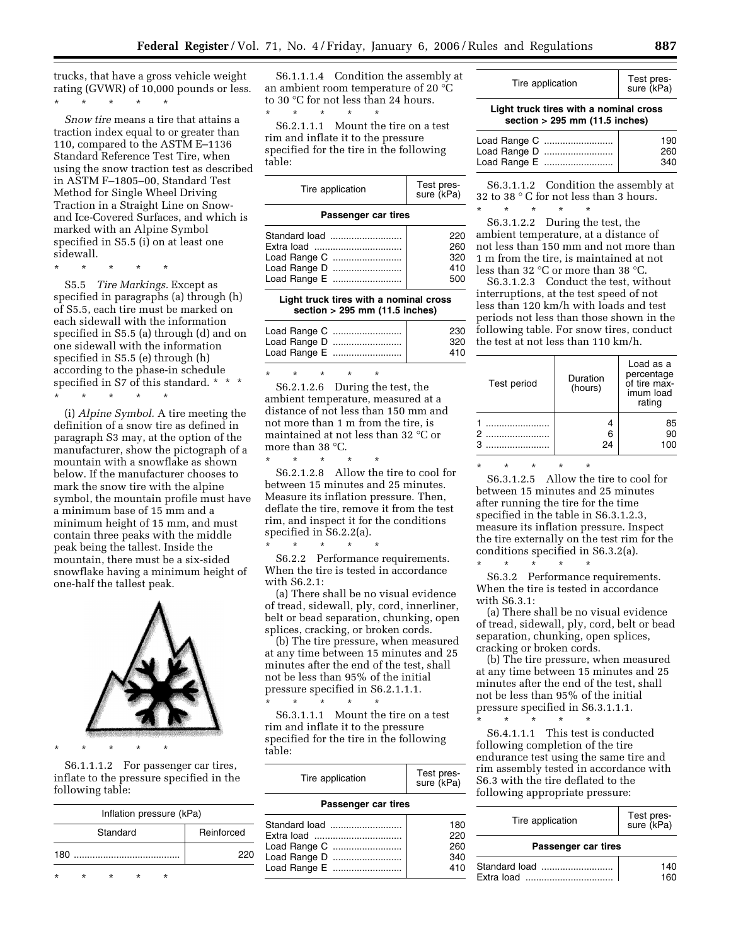trucks, that have a gross vehicle weight rating (GVWR) of 10,000 pounds or less.

\* \* \* \* \*

*Snow tire* means a tire that attains a traction index equal to or greater than 110, compared to the ASTM E–1136 Standard Reference Test Tire, when using the snow traction test as described in ASTM F–1805–00, Standard Test Method for Single Wheel Driving Traction in a Straight Line on Snowand Ice-Covered Surfaces, and which is marked with an Alpine Symbol specified in S5.5 (i) on at least one sidewall.

\* \* \* \* \*

S5.5 *Tire Markings.* Except as specified in paragraphs (a) through (h) of S5.5, each tire must be marked on each sidewall with the information specified in S5.5 (a) through (d) and on one sidewall with the information specified in S5.5 (e) through (h) according to the phase-in schedule specified in S7 of this standard. \* \* \* \* \* \* \* \*

(i) *Alpine Symbol.* A tire meeting the definition of a snow tire as defined in paragraph S3 may, at the option of the manufacturer, show the pictograph of a mountain with a snowflake as shown below. If the manufacturer chooses to mark the snow tire with the alpine symbol, the mountain profile must have a minimum base of 15 mm and a minimum height of 15 mm, and must contain three peaks with the middle peak being the tallest. Inside the mountain, there must be a six-sided snowflake having a minimum height of one-half the tallest peak.



\* \* \* \* \*

S6.1.1.1.2 For passenger car tires, inflate to the pressure specified in the following table:

| Inflation pressure (kPa) |   |          |            |   |     |  |  |  |
|--------------------------|---|----------|------------|---|-----|--|--|--|
|                          |   | Standard | Reinforced |   |     |  |  |  |
| 180                      |   |          |            |   | 220 |  |  |  |
| ÷                        | ÷ | ÷        |            | ÷ |     |  |  |  |

S6.1.1.1.4 Condition the assembly at an ambient room temperature of 20 °C to 30 °C for not less than 24 hours.

\* \* \* \* \* S6.2.1.1.1 Mount the tire on a test rim and inflate it to the pressure specified for the tire in the following table:

| Tire application    | Test pres-<br>sure (kPa) |
|---------------------|--------------------------|
| Passenger car tires |                          |
| Standard load       | 220                      |
| Extra load          | 260                      |
| Load Range C        | 320                      |
| Load Range D        | 410                      |
| Load Range E        | 500                      |

**Light truck tires with a nominal cross section > 295 mm (11.5 inches)** 

|              | 230 |
|--------------|-----|
| Load Range D | 320 |
|              | 410 |

\* \* \* \* \* S6.2.1.2.6 During the test, the ambient temperature, measured at a distance of not less than 150 mm and not more than 1 m from the tire, is maintained at not less than 32 °C or more than 38 °C.

\* \* \* \* \*

S6.2.1.2.8 Allow the tire to cool for between 15 minutes and 25 minutes. Measure its inflation pressure. Then, deflate the tire, remove it from the test rim, and inspect it for the conditions specified in S6.2.2(a).

\* \* \* \* \* S6.2.2 Performance requirements. When the tire is tested in accordance with S6.2.1:

(a) There shall be no visual evidence of tread, sidewall, ply, cord, innerliner, belt or bead separation, chunking, open splices, cracking, or broken cords.

(b) The tire pressure, when measured at any time between 15 minutes and 25 minutes after the end of the test, shall not be less than 95% of the initial pressure specified in S6.2.1.1.1.

\* \* \* \* \* S6.3.1.1.1 Mount the tire on a test rim and inflate it to the pressure specified for the tire in the following table:

| Tire application    | Test pres-<br>sure (kPa) |  |  |  |  |
|---------------------|--------------------------|--|--|--|--|
| Passenger car tires |                          |  |  |  |  |
| Standard load       | 180                      |  |  |  |  |
| Extra load          | 220                      |  |  |  |  |
| Load Range C        | 260                      |  |  |  |  |
| Load Range D        | 340                      |  |  |  |  |

Load Range E .......................... 410

#### **Light truck tires with a nominal cross section > 295 mm (11.5 inches)**

|              | 190 |
|--------------|-----|
|              | 260 |
| Load Range E | 340 |

S6.3.1.1.2 Condition the assembly at 32 to 38 ° C for not less than 3 hours. \* \* \* \* \*

S6.3.1.2.2 During the test, the ambient temperature, at a distance of not less than 150 mm and not more than 1 m from the tire, is maintained at not less than 32 °C or more than 38 °C.

S6.3.1.2.3 Conduct the test, without interruptions, at the test speed of not less than 120 km/h with loads and test periods not less than those shown in the following table. For snow tires, conduct the test at not less than 110 km/h.

| Test period | Duration<br>(hours) | Load as a<br>percentage<br>of tire max-<br>imum load<br>rating |
|-------------|---------------------|----------------------------------------------------------------|
|             | 24                  | 85<br>90<br>100                                                |

\* \* \* \* \*

S6.3.1.2.5 Allow the tire to cool for between 15 minutes and 25 minutes after running the tire for the time specified in the table in S6.3.1.2.3, measure its inflation pressure. Inspect the tire externally on the test rim for the conditions specified in S6.3.2(a).

\* \* \* \* \* S6.3.2 Performance requirements. When the tire is tested in accordance with S6.3.1:

(a) There shall be no visual evidence of tread, sidewall, ply, cord, belt or bead separation, chunking, open splices, cracking or broken cords.

(b) The tire pressure, when measured at any time between 15 minutes and 25 minutes after the end of the test, shall not be less than 95% of the initial pressure specified in S6.3.1.1.1.

\* \* \* \* \* S6.4.1.1.1 This test is conducted following completion of the tire endurance test using the same tire and rim assembly tested in accordance with S6.3 with the tire deflated to the following appropriate pressure:

| Tire application    | Test pres-<br>sure (kPa) |  |
|---------------------|--------------------------|--|
| Passenger car tires |                          |  |
| Standard load       | 140                      |  |
| Extra load          |                          |  |